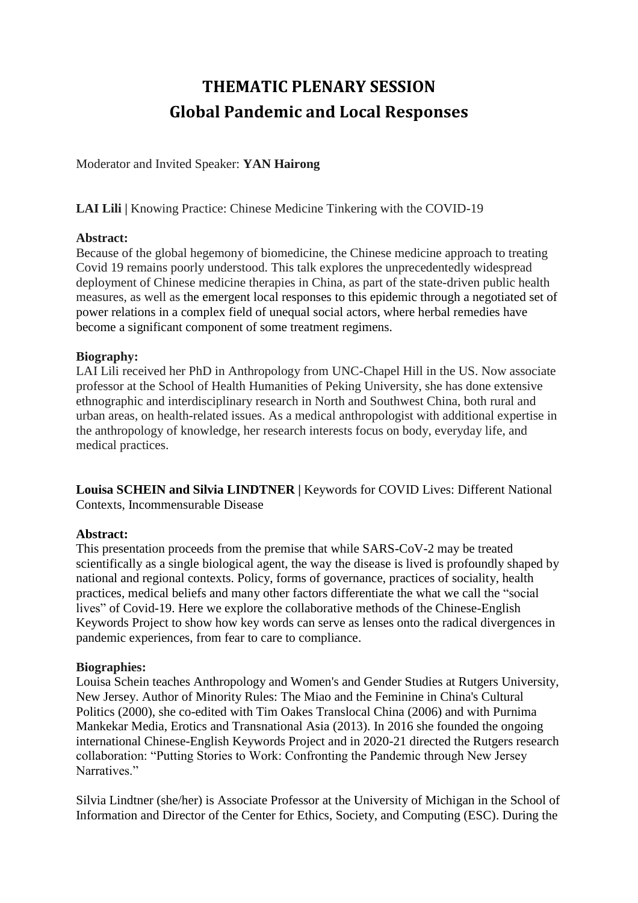# **THEMATIC PLENARY SESSION Global Pandemic and Local Responses**

Moderator and Invited Speaker: **YAN Hairong**

**LAI Lili |** Knowing Practice: Chinese Medicine Tinkering with the COVID-19

## **Abstract:**

Because of the global hegemony of biomedicine, the Chinese medicine approach to treating Covid 19 remains poorly understood. This talk explores the unprecedentedly widespread deployment of Chinese medicine therapies in China, as part of the state-driven public health measures, as well as the emergent local responses to this epidemic through a negotiated set of power relations in a complex field of unequal social actors, where herbal remedies have become a significant component of some treatment regimens.

# **Biography:**

LAI Lili received her PhD in Anthropology from UNC-Chapel Hill in the US. Now associate professor at the School of Health Humanities of Peking University, she has done extensive ethnographic and interdisciplinary research in North and Southwest China, both rural and urban areas, on health-related issues. As a medical anthropologist with additional expertise in the anthropology of knowledge, her research interests focus on body, everyday life, and medical practices.

**Louisa SCHEIN and Silvia LINDTNER |** Keywords for COVID Lives: Different National Contexts, Incommensurable Disease

# **Abstract:**

This presentation proceeds from the premise that while SARS-CoV-2 may be treated scientifically as a single biological agent, the way the disease is lived is profoundly shaped by national and regional contexts. Policy, forms of governance, practices of sociality, health practices, medical beliefs and many other factors differentiate the what we call the "social lives" of Covid-19. Here we explore the collaborative methods of the Chinese-English Keywords Project to show how key words can serve as lenses onto the radical divergences in pandemic experiences, from fear to care to compliance.

#### **Biographies:**

Louisa Schein teaches Anthropology and Women's and Gender Studies at Rutgers University, New Jersey. Author of Minority Rules: The Miao and the Feminine in China's Cultural Politics (2000), she co-edited with Tim Oakes Translocal China (2006) and with Purnima Mankekar Media, Erotics and Transnational Asia (2013). In 2016 she founded the ongoing international Chinese-English Keywords Project and in 2020-21 directed the Rutgers research collaboration: "Putting Stories to Work: Confronting the Pandemic through New Jersey Narratives."

Silvia Lindtner (she/her) is Associate Professor at the University of Michigan in the [School of](https://secure-web.cisco.com/1Tr_7iL2Hl1pUBwZ8qTFgk4mjz_mKr90hB0Pquk3i2DRWwfdSta7HzRl3NH7tU5ESDZLps6WTnsa4JVs0sP7tk7FlKvEdGAgtez7UsNBcrImATHOs0J3kW7674Aeh9AFs4gQbgy9eQ7yIIfdIniuNeMqKytVoe40lcdv0pgsaUZNjGc7osV3LYxk1mXmmHjmsKk8yPmlfjS5CvM0MwyhuoG8KCcIylWbaSjLKKEI0u_w58ZpfwjdWqLIs8Z7wNMkDAhdUmDhpXkAW__0NS-5ijN05OQLkmZEQMSI_bLJpXrjkOJcPL9bZh4ztoBZx-mdDaxH7udl_airNPmufBrJg8g/https%3A%2F%2Fwww.si.umich.edu%2F)  [Information](https://secure-web.cisco.com/1Tr_7iL2Hl1pUBwZ8qTFgk4mjz_mKr90hB0Pquk3i2DRWwfdSta7HzRl3NH7tU5ESDZLps6WTnsa4JVs0sP7tk7FlKvEdGAgtez7UsNBcrImATHOs0J3kW7674Aeh9AFs4gQbgy9eQ7yIIfdIniuNeMqKytVoe40lcdv0pgsaUZNjGc7osV3LYxk1mXmmHjmsKk8yPmlfjS5CvM0MwyhuoG8KCcIylWbaSjLKKEI0u_w58ZpfwjdWqLIs8Z7wNMkDAhdUmDhpXkAW__0NS-5ijN05OQLkmZEQMSI_bLJpXrjkOJcPL9bZh4ztoBZx-mdDaxH7udl_airNPmufBrJg8g/https%3A%2F%2Fwww.si.umich.edu%2F) and Director of the [Center for Ethics, Society, and Computing \(ESC\).](https://secure-web.cisco.com/1P8lyzWBUi7usLMS8uvJLdanas0c9AGR30Y8Xb3JQY6dKrhJCxw2cCmWOEroN8pFS6m-F-VGPG5h4WPSipjHC-SYfiO4oOrwuDyvaklnA57jbC4yKpt1ru3qtyqAofUq8005Mx_jI19r-CrS6UDpM098oDG2UgWa-HO4t40Nazyg3EfPNP01Uw2APpZrgigEkkPEoFI6DfemAwrr6WJgsXpSQ8Gr-iG35wi8z3WsZm9BwA9B8YrNudhBj0s7rA4Lx_Z0SqFrVp8YMGM_4xlMoJtzh7FLXLpBNw6RuQlrt0vOgrdfQKlBcbKFL-Y4OesWRDysu7I_O4QFn88ZRqf-qMw/https%3A%2F%2Fwww.esc.umich.edu%2F) During the